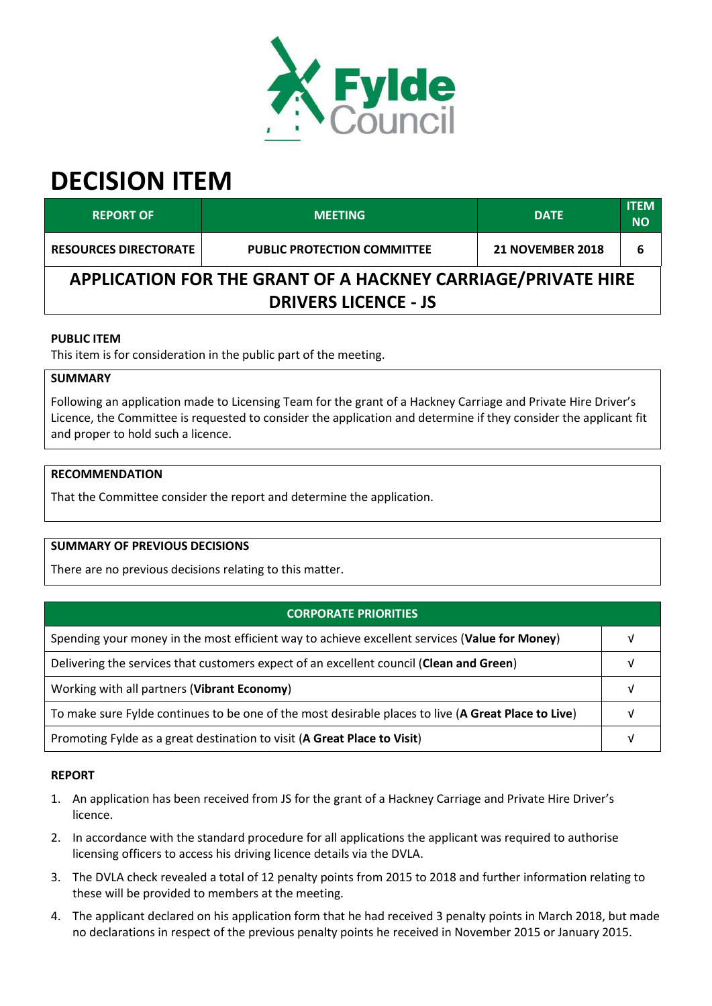

# **DECISION ITEM**

| <b>REPORT OF</b>                                             | <b>MEETING</b>                     | <b>DATE</b>             | <b>ITEM</b><br><b>NO</b> |  |  |
|--------------------------------------------------------------|------------------------------------|-------------------------|--------------------------|--|--|
| <b>RESOURCES DIRECTORATE</b>                                 | <b>PUBLIC PROTECTION COMMITTEE</b> | <b>21 NOVEMBER 2018</b> | 6                        |  |  |
| APPLICATION FOR THE GRANT OF A HACKNEY CARRIAGE/PRIVATE HIRE |                                    |                         |                          |  |  |
| <b>DRIVERS LICENCE - JS</b>                                  |                                    |                         |                          |  |  |

## **PUBLIC ITEM**

This item is for consideration in the public part of the meeting.

#### **SUMMARY**

Following an application made to Licensing Team for the grant of a Hackney Carriage and Private Hire Driver's Licence, the Committee is requested to consider the application and determine if they consider the applicant fit and proper to hold such a licence.

#### **RECOMMENDATION**

That the Committee consider the report and determine the application.

### **SUMMARY OF PREVIOUS DECISIONS**

There are no previous decisions relating to this matter.

| <b>CORPORATE PRIORITIES</b>                                                                         |  |  |
|-----------------------------------------------------------------------------------------------------|--|--|
| Spending your money in the most efficient way to achieve excellent services (Value for Money)       |  |  |
| Delivering the services that customers expect of an excellent council (Clean and Green)             |  |  |
| Working with all partners (Vibrant Economy)                                                         |  |  |
| To make sure Fylde continues to be one of the most desirable places to live (A Great Place to Live) |  |  |
| Promoting Fylde as a great destination to visit (A Great Place to Visit)                            |  |  |

#### **REPORT**

- 1. An application has been received from JS for the grant of a Hackney Carriage and Private Hire Driver's licence.
- 2. In accordance with the standard procedure for all applications the applicant was required to authorise licensing officers to access his driving licence details via the DVLA.
- 3. The DVLA check revealed a total of 12 penalty points from 2015 to 2018 and further information relating to these will be provided to members at the meeting.
- 4. The applicant declared on his application form that he had received 3 penalty points in March 2018, but made no declarations in respect of the previous penalty points he received in November 2015 or January 2015.